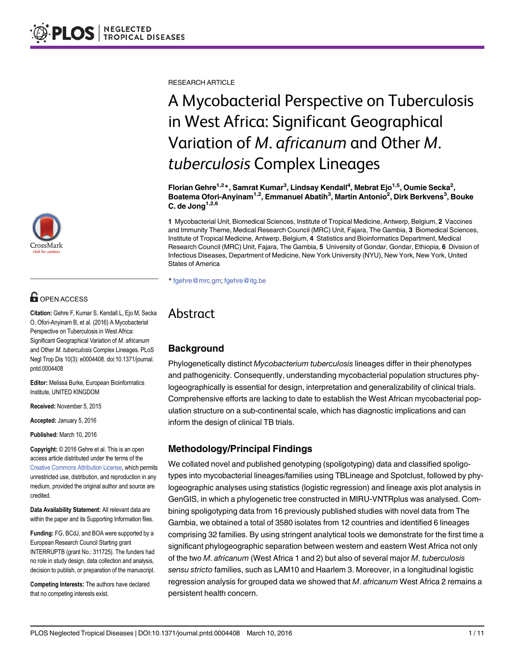

# **G** OPEN ACCESS

Citation: Gehre F, Kumar S, Kendall L, Ejo M, Secka O, Ofori-Anyinam B, et al. (2016) A Mycobacterial Perspective on Tuberculosis in West Africa: Significant Geographical Variation of M. africanum and Other M. tuberculosis Complex Lineages. PLoS Negl Trop Dis 10(3): e0004408. doi:10.1371/journal. pntd.0004408

Editor: Melissa Burke, European Bioinformatics Institute, UNITED KINGDOM

Received: November 5, 2015

Accepted: January 5, 2016

Published: March 10, 2016

Copyright: © 2016 Gehre et al. This is an open access article distributed under the terms of the [Creative Commons Attribution License,](http://creativecommons.org/licenses/by/4.0/) which permits unrestricted use, distribution, and reproduction in any medium, provided the original author and source are credited.

Data Availability Statement: All relevant data are within the paper and its Supporting Information files.

Funding: FG, BCdJ, and BOA were supported by a European Research Council Starting grant INTERRUPTB (grant No.: 311725). The funders had no role in study design, data collection and analysis, decision to publish, or preparation of the manuscript.

Competing Interests: The authors have declared that no competing interests exist.

RESEARCH ARTICLE

# A Mycobacterial Perspective on Tuberculosis in West Africa: Significant Geographical Variation of M. africanum and Other M. tuberculosis Complex Lineages

Florian Gehre<sup>1,2</sup>\*, Samrat Kumar<sup>3</sup>, Lindsay Kendall<sup>4</sup>, Mebrat Ejo<sup>1,5</sup>, Oumie Secka<sup>2</sup>, Boatema Ofori-Anyinam<sup>1,2</sup>, Emmanuel Abatih<sup>3</sup>, Martin Antonio<sup>2</sup>, Dirk Berkvens<sup>3</sup>, Bouke C. de Jong $^{1,2,6}$ 

1 Mycobacterial Unit, Biomedical Sciences, Institute of Tropical Medicine, Antwerp, Belgium, 2 Vaccines and Immunity Theme, Medical Research Council (MRC) Unit, Fajara, The Gambia, 3 Biomedical Sciences, Institute of Tropical Medicine, Antwerp, Belgium, 4 Statistics and Bioinformatics Department, Medical Research Council (MRC) Unit, Fajara, The Gambia, 5 University of Gondar, Gondar, Ethiopia, 6 Division of Infectious Diseases, Department of Medicine, New York University (NYU), New York, New York, United States of America

\* fgehre@mrc.gm; fgehre@itg.be

# Abstract

#### **Background**

Phylogenetically distinct Mycobacterium tuberculosis lineages differ in their phenotypes and pathogenicity. Consequently, understanding mycobacterial population structures phylogeographically is essential for design, interpretation and generalizability of clinical trials. Comprehensive efforts are lacking to date to establish the West African mycobacterial population structure on a sub-continental scale, which has diagnostic implications and can inform the design of clinical TB trials.

#### Methodology/Principal Findings

We collated novel and published genotyping (spoligotyping) data and classified spoligotypes into mycobacterial lineages/families using TBLineage and Spotclust, followed by phylogeographic analyses using statistics (logistic regression) and lineage axis plot analysis in GenGIS, in which a phylogenetic tree constructed in MIRU-VNTRplus was analysed. Combining spoligotyping data from 16 previously published studies with novel data from The Gambia, we obtained a total of 3580 isolates from 12 countries and identified 6 lineages comprising 32 families. By using stringent analytical tools we demonstrate for the first time a significant phylogeographic separation between western and eastern West Africa not only of the two M. africanum (West Africa 1 and 2) but also of several major M. tuberculosis sensu stricto families, such as LAM10 and Haarlem 3. Moreover, in a longitudinal logistic regression analysis for grouped data we showed that  $M$ . africanum West Africa 2 remains a persistent health concern.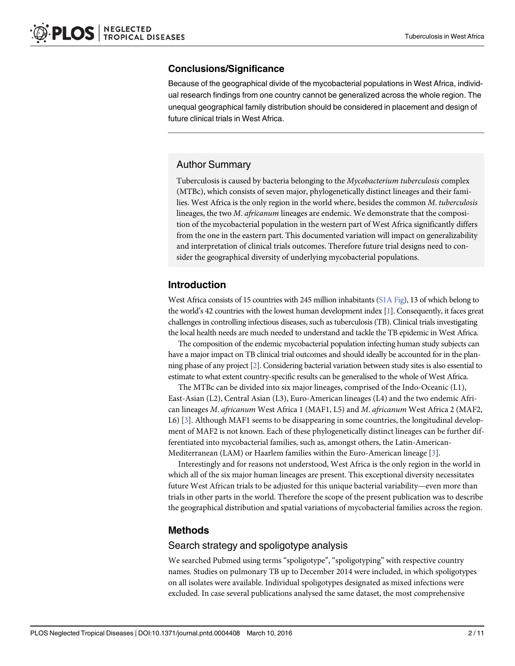#### <span id="page-1-0"></span>Conclusions/Significance

Because of the geographical divide of the mycobacterial populations in West Africa, individual research findings from one country cannot be generalized across the whole region. The unequal geographical family distribution should be considered in placement and design of future clinical trials in West Africa.

## Author Summary

Tuberculosis is caused by bacteria belonging to the Mycobacterium tuberculosis complex (MTBc), which consists of seven major, phylogenetically distinct lineages and their families. West Africa is the only region in the world where, besides the common M. tuberculosis lineages, the two M. africanum lineages are endemic. We demonstrate that the composition of the mycobacterial population in the western part of West Africa significantly differs from the one in the eastern part. This documented variation will impact on generalizability and interpretation of clinical trials outcomes. Therefore future trial designs need to consider the geographical diversity of underlying mycobacterial populations.

## Introduction

West Africa consists of 15 countries with 245 million inhabitants ([S1A Fig](#page-8-0)), 13 of which belong to the world's 42 countries with the lowest human development index [[1](#page-8-0)]. Consequently, it faces great challenges in controlling infectious diseases, such as tuberculosis (TB). Clinical trials investigating the local health needs are much needed to understand and tackle the TB epidemic in West Africa.

The composition of the endemic mycobacterial population infecting human study subjects can have a major impact on TB clinical trial outcomes and should ideally be accounted for in the planning phase of any project [\[2](#page-8-0)]. Considering bacterial variation between study sites is also essential to estimate to what extent country-specific results can be generalised to the whole of West Africa.

The MTBc can be divided into six major lineages, comprised of the Indo-Oceanic (L1), East-Asian (L2), Central Asian (L3), Euro-American lineages (L4) and the two endemic African lineages M. africanum West Africa 1 (MAF1, L5) and M. africanum West Africa 2 (MAF2, L6) [\[3\]](#page-9-0). Although MAF1 seems to be disappearing in some countries, the longitudinal development of MAF2 is not known. Each of these phylogenetically distinct lineages can be further differentiated into mycobacterial families, such as, amongst others, the Latin-American-Mediterranean (LAM) or Haarlem families within the Euro-American lineage [\[3](#page-9-0)].

Interestingly and for reasons not understood, West Africa is the only region in the world in which all of the six major human lineages are present. This exceptional diversity necessitates future West African trials to be adjusted for this unique bacterial variability—even more than trials in other parts in the world. Therefore the scope of the present publication was to describe the geographical distribution and spatial variations of mycobacterial families across the region.

#### Methods

#### Search strategy and spoligotype analysis

We searched Pubmed using terms "spoligotype", "spoligotyping" with respective country names. Studies on pulmonary TB up to December 2014 were included, in which spoligotypes on all isolates were available. Individual spoligotypes designated as mixed infections were excluded. In case several publications analysed the same dataset, the most comprehensive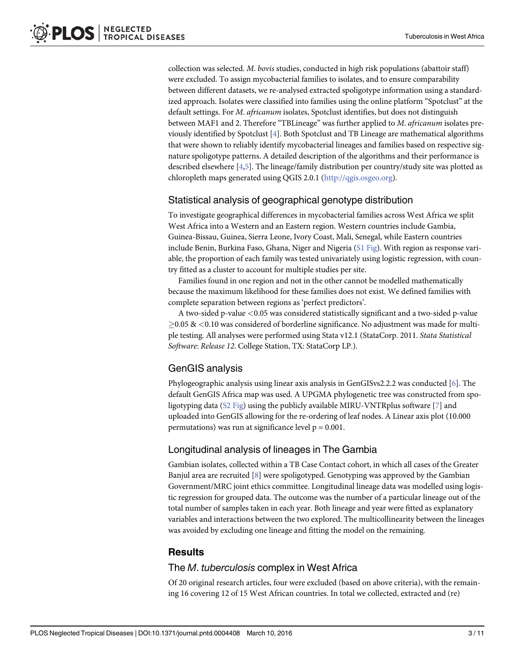<span id="page-2-0"></span>collection was selected. M. bovis studies, conducted in high risk populations (abattoir staff) were excluded. To assign mycobacterial families to isolates, and to ensure comparability between different datasets, we re-analysed extracted spoligotype information using a standardized approach. Isolates were classified into families using the online platform "Spotclust" at the default settings. For *M. africanum* isolates, Spotclust identifies, but does not distinguish between MAF1 and 2. Therefore "TBLineage" was further applied to M. africanum isolates previously identified by Spotclust [\[4](#page-9-0)]. Both Spotclust and TB Lineage are mathematical algorithms that were shown to reliably identify mycobacterial lineages and families based on respective signature spoligotype patterns. A detailed description of the algorithms and their performance is described elsewhere [\[4,5](#page-9-0)]. The lineage/family distribution per country/study site was plotted as chloropleth maps generated using QGIS 2.0.1 [\(http://qgis.osgeo.org\)](http://qgis.osgeo.org/).

#### Statistical analysis of geographical genotype distribution

To investigate geographical differences in mycobacterial families across West Africa we split West Africa into a Western and an Eastern region. Western countries include Gambia, Guinea-Bissau, Guinea, Sierra Leone, Ivory Coast, Mali, Senegal, while Eastern countries include Benin, Burkina Faso, Ghana, Niger and Nigeria  $(S1 \text{ Fig})$ . With region as response variable, the proportion of each family was tested univariately using logistic regression, with country fitted as a cluster to account for multiple studies per site.

Families found in one region and not in the other cannot be modelled mathematically because the maximum likelihood for these families does not exist. We defined families with complete separation between regions as 'perfect predictors'.

A two-sided p-value <0.05 was considered statistically significant and a two-sided p-value  $\geq$ 0.05 & <0.10 was considered of borderline significance. No adjustment was made for multiple testing. All analyses were performed using Stata v12.1 (StataCorp. 2011. Stata Statistical Software: Release 12. College Station, TX: StataCorp LP.).

#### GenGIS analysis

Phylogeographic analysis using linear axis analysis in GenGISvs2.2.2 was conducted [\[6](#page-9-0)]. The default GenGIS Africa map was used. A UPGMA phylogenetic tree was constructed from spoligotyping data ( $S2$  Fig) using the publicly available MIRU-VNTRplus software [ $Z$ ] and uploaded into GenGIS allowing for the re-ordering of leaf nodes. A Linear axis plot (10.000 permutations) was run at significance level  $p = 0.001$ .

#### Longitudinal analysis of lineages in The Gambia

Gambian isolates, collected within a TB Case Contact cohort, in which all cases of the Greater Banjul area are recruited  $[8]$  $[8]$  were spoligotyped. Genotyping was approved by the Gambian Government/MRC joint ethics committee. Longitudinal lineage data was modelled using logistic regression for grouped data. The outcome was the number of a particular lineage out of the total number of samples taken in each year. Both lineage and year were fitted as explanatory variables and interactions between the two explored. The multicollinearity between the lineages was avoided by excluding one lineage and fitting the model on the remaining.

#### **Results**

#### The M. tuberculosis complex in West Africa

Of 20 original research articles, four were excluded (based on above criteria), with the remaining 16 covering 12 of 15 West African countries. In total we collected, extracted and (re)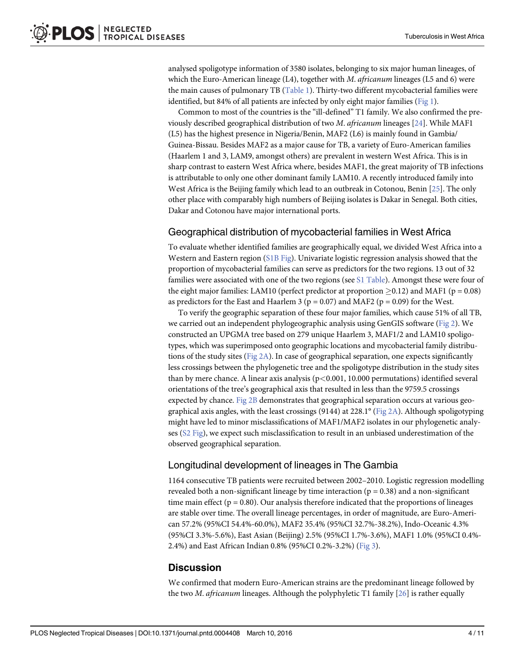<span id="page-3-0"></span>analysed spoligotype information of 3580 isolates, belonging to six major human lineages, of which the Euro-American lineage  $(L4)$ , together with *M. africanum* lineages  $(L5 \text{ and } 6)$  were the main causes of pulmonary TB ([Table 1](#page-4-0)). Thirty-two different mycobacterial families were identified, but 84% of all patients are infected by only eight major families ([Fig 1](#page-5-0)).

Common to most of the countries is the "ill-defined" T1 family. We also confirmed the previously described geographical distribution of two M. africanum lineages [\[24\]](#page-10-0). While MAF1 (L5) has the highest presence in Nigeria/Benin, MAF2 (L6) is mainly found in Gambia/ Guinea-Bissau. Besides MAF2 as a major cause for TB, a variety of Euro-American families (Haarlem 1 and 3, LAM9, amongst others) are prevalent in western West Africa. This is in sharp contrast to eastern West Africa where, besides MAF1, the great majority of TB infections is attributable to only one other dominant family LAM10. A recently introduced family into West Africa is the Beijing family which lead to an outbreak in Cotonou, Benin [[25](#page-10-0)]. The only other place with comparably high numbers of Beijing isolates is Dakar in Senegal. Both cities, Dakar and Cotonou have major international ports.

#### Geographical distribution of mycobacterial families in West Africa

To evaluate whether identified families are geographically equal, we divided West Africa into a Western and Eastern region [\(S1B Fig](#page-8-0)). Univariate logistic regression analysis showed that the proportion of mycobacterial families can serve as predictors for the two regions. 13 out of 32 families were associated with one of the two regions (see [S1 Table\)](#page-8-0). Amongst these were four of the eight major families: LAM10 (perfect predictor at proportion  $\geq 0.12$ ) and MAF1 (p = 0.08) as predictors for the East and Haarlem 3 ( $p = 0.07$ ) and MAF2 ( $p = 0.09$ ) for the West.

To verify the geographic separation of these four major families, which cause 51% of all TB, we carried out an independent phylogeographic analysis using GenGIS software ( $Fig 2$ ). We constructed an UPGMA tree based on 279 unique Haarlem 3, MAF1/2 and LAM10 spoligotypes, which was superimposed onto geographic locations and mycobacterial family distributions of the study sites ( $Fig 2A$ ). In case of geographical separation, one expects significantly less crossings between the phylogenetic tree and the spoligotype distribution in the study sites than by mere chance. A linear axis analysis ( $p<0.001$ , 10.000 permutations) identified several orientations of the tree's geographical axis that resulted in less than the 9759.5 crossings expected by chance. [Fig 2B](#page-6-0) demonstrates that geographical separation occurs at various geographical axis angles, with the least crossings (9144) at 228.1 $\textdegree$  [\(Fig 2A](#page-6-0)). Although spoligotyping might have led to minor misclassifications of MAF1/MAF2 isolates in our phylogenetic analyses [\(S2 Fig](#page-8-0)), we expect such misclassification to result in an unbiased underestimation of the observed geographical separation.

#### Longitudinal development of lineages in The Gambia

1164 consecutive TB patients were recruited between 2002–2010. Logistic regression modelling revealed both a non-significant lineage by time interaction ( $p = 0.38$ ) and a non-significant time main effect ( $p = 0.80$ ). Our analysis therefore indicated that the proportions of lineages are stable over time. The overall lineage percentages, in order of magnitude, are Euro-American 57.2% (95%CI 54.4%-60.0%), MAF2 35.4% (95%CI 32.7%-38.2%), Indo-Oceanic 4.3% (95%CI 3.3%-5.6%), East Asian (Beijing) 2.5% (95%CI 1.7%-3.6%), MAF1 1.0% (95%CI 0.4%- 2.4%) and East African Indian 0.8% (95%CI 0.2%-3.2%) [\(Fig 3\)](#page-7-0).

#### **Discussion**

We confirmed that modern Euro-American strains are the predominant lineage followed by the two *M. africanum* lineages. Although the polyphyletic T1 family  $[26]$  $[26]$  $[26]$  is rather equally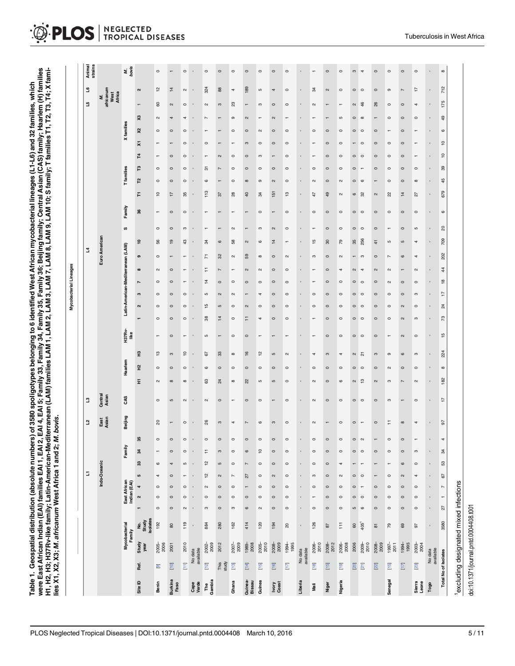<span id="page-4-0"></span>

|                                            |                                        |                                       |                          |                     |                                                      |                          |                           |                          |               |                         |                  |                     |                |                       |                       |                       |                       | Mycobacterial Lineages   |                |                       |                                    |                       |                          |               |                       |                          |                |                           |                    |                                     |                          |                                   |                   |
|--------------------------------------------|----------------------------------------|---------------------------------------|--------------------------|---------------------|------------------------------------------------------|--------------------------|---------------------------|--------------------------|---------------|-------------------------|------------------|---------------------|----------------|-----------------------|-----------------------|-----------------------|-----------------------|--------------------------|----------------|-----------------------|------------------------------------|-----------------------|--------------------------|---------------|-----------------------|--------------------------|----------------|---------------------------|--------------------|-------------------------------------|--------------------------|-----------------------------------|-------------------|
|                                            |                                        |                                       |                          |                     |                                                      |                          | E                         |                          |               | <u>J</u>                | $\mathbf{c}$     |                     |                |                       |                       |                       |                       |                          |                |                       | 2                                  |                       |                          |               |                       |                          |                |                           |                    |                                     | 꼬                        | ٩                                 | Animal<br>strains |
|                                            |                                        |                                       |                          |                     |                                                      |                          | Indo-Oceanic              |                          |               | East<br>Asian           | Central<br>Asian |                     |                |                       |                       |                       |                       |                          |                |                       | Euro American                      |                       |                          |               |                       |                          |                |                           |                    |                                     |                          | M.<br>africanum<br>West<br>Africa |                   |
|                                            |                                        | Mycobacterial<br>Family               |                          |                     | East African<br>Indian (EAI)                         |                          |                           | Family                   |               | Beijing                 | CAS              |                     | Haarlem        |                       | <b>H37Rv-</b><br>Ilke |                       |                       |                          |                |                       | Latin-American-Mediterranean (LAM) |                       | S                        | Family        |                       | T families               |                |                           |                    | X families                          |                          |                                   | M.<br>bovis       |
| Site ID                                    | Ref.                                   | Study<br>year                         | No.<br>Study<br>isolates |                     | $\blacktriangleleft$<br>$\sim$                       | LO.                      | $\boldsymbol{\mathsf{3}}$ | 34                       | 35            |                         |                  | £                   | 운              | 운                     |                       |                       | $\boldsymbol{\alpha}$ | s                        | Z              | $\pmb{\infty}$        | თ                                  | <u>۽</u>              |                          | 36            | F                     | 52                       | ူ              | 14                        | $\bar{\mathbf{x}}$ | X3<br>$\boldsymbol{\mathsf{x}}$     |                          | $\mathbf{\alpha}$                 |                   |
| Benin                                      | $\odot$                                | 2005-<br>2006                         | 192                      | $\circ$             | $\circ$<br>$\circ$                                   | 4                        | $\pmb{\circ}$             | $\overline{\phantom{0}}$ | $\circ$       | $\rm ^{20}$             | $\circ$          | $\mathbf{\Omega}$   | $\circ$        | 13                    | $\mathbf -$           | $\circ$               | $\circ$               | $\circ$                  | $\circ$        | $\boldsymbol{\alpha}$ | $\circ$                            | 56                    | $\circ$                  |               | °                     | $\circ$                  | $\circ$        | ÷                         |                    | $\mathbf{\Omega}$<br>$\circ$        | 60                       | $\frac{2}{3}$                     | $\circ$           |
| <b>Burkina</b><br>Faso                     | $\overline{2}$                         | 2001                                  | $\rm ^{80}$              | $\circ$             | $\circ$<br>$\circ$                                   | $\circ$                  | 4                         | $\circ$                  |               | $\mathbf{r}$            | LO               | $\infty$            | $\circ$        | $\boldsymbol{\omega}$ | $\circ$               | $\circ$               | $\circ$               | $\circ$                  | $\circ$        | $\circ$               | $\mathbf{r}$                       | $\frac{9}{2}$         | $\circ$                  | $\circ$       | 17                    | $\circ$                  | $\circ$        | $\circ$                   |                    | 4<br>$\circ$                        | $\boldsymbol{\alpha}$    | $\overline{1}$                    |                   |
|                                            | $\overline{z}$                         | 2010                                  | 119                      | $\boldsymbol{\sim}$ | $\circ$<br>$\circ$                                   | ÷                        | Ю                         | $\circ$                  |               | $\circ$                 | $\sim$           | $\infty$            | $\circ$        | $\overline{c}$        |                       | $\circ$               | $\circ$               | $\circ$                  | -              |                       | -                                  | 43                    | S                        | $\circ$       | 85                    | $\circ$                  | $\circ$        | $\circ$                   | $\circ$            | 4<br>$\circ$                        | $\circ$                  | $\boldsymbol{\sim}$               | $\circ$           |
| Cape<br>Verde                              | No data<br>available                   |                                       | $\mathbf{r}$             | ï                   | $\blacksquare$                                       | $\mathbf{r}$             | $\blacksquare$            | $\blacksquare$           |               |                         |                  |                     |                | $\blacksquare$        |                       | $\blacksquare$        |                       |                          |                |                       |                                    |                       |                          |               |                       |                          |                |                           |                    |                                     |                          |                                   |                   |
| Gambia<br>$\mathop{\mathsf{F}\mathsf{ne}}$ | $\frac{2}{2}$                          | 2002-<br>2009                         | 884                      | S                   | $\sim$<br>$\circ$                                    | $\tilde{a}$              | 51                        | Ξ                        |               | 8                       | $\sim$           | 8                   | G              | 29                    | Б                     | 88                    | $\frac{5}{1}$         | Б                        | 4              | ÷                     | 7                                  | 34                    |                          |               | 113                   | G                        | 5              |                           | $\circ$            |                                     | $\sim$                   | 324                               | $\circ$           |
|                                            | This<br>study                          | 2012                                  | 280                      | $\circ$             | $\circ$<br>$\circ$                                   | $\sim$                   | $\mathfrak{S}$            | $\boldsymbol{\upsigma}$  |               | $\boldsymbol{\upsigma}$ | $\circ$          | $^{24}$             | $\circ$        | $33\,$                | $\mathbf -$           | $\overline{4}$        | $\mathfrak{g}$        | $\sim$                   | $\circ$        | $\overline{ }$        | 32                                 | $\circ$               | T                        |               | $\mathfrak{L}$        | $\overline{ }$           | $\overline{ }$ | $\boldsymbol{\mathsf{c}}$ |                    | $\blacksquare$                      | $\boldsymbol{\omega}$    | $_{88}$                           | $\circ$           |
| Ghana                                      | $\overline{2}$                         | 2007-                                 | 162                      | c                   | $\circ$<br>$\circ$                                   | $\overline{ }$           | $\circ$                   | $\circ$                  |               | 4                       |                  | $\infty$            | $\circ$        | $\infty$              | $\circ$               | $\circ$               | $\circ$               | $\mathbf{\alpha}$        | $\circ$        |                       | $\boldsymbol{\sim}$                | 58                    | $\mathbf{\alpha}$        |               | 28                    | $\circ$                  | $\circ$        | $\circ$                   |                    | $\sigma$<br>$\circ$                 | 23                       | 4                                 | $\circ$           |
| Guinea-<br>Bissau                          | $\overline{14}$                        | $1989 - 2008$                         | 414                      | $\mathbf{\circ}$    | $\overline{\phantom{m}}$<br>$\circ$                  | 27                       | $\overline{\phantom{a}}$  | $\mathbf{\circ}$         |               | $\overline{ }$          | $\circ$          | ଅ                   | $\circ$        | 16                    | $\circ$               | Ξ                     | $\sim$                | $\overline{\phantom{m}}$ | $\circ$        | $\sim$                | 59                                 | $\boldsymbol{\alpha}$ | $\overline{\phantom{m}}$ |               | $\overline{a}$        | $\infty$                 | $\circ$        | $\circ$                   | S                  | $\sim$<br>$\circ$                   | $\overline{\phantom{m}}$ | 189                               | $\circ$           |
| Guinea                                     | $\begin{bmatrix} 5 \\ 1 \end{bmatrix}$ | 2005-<br>2010                         | 120                      | $\boldsymbol{\sim}$ | $\circ$<br>$\circ$                                   | $\circ$                  | $\circ$                   | $\frac{1}{2}$            |               | $\circ$                 | $\circ$          | ယ                   | $\circ$        | 57                    |                       | 4                     | $\circ$               | 4                        | $\circ$        | $\mathbf{\alpha}$     | $\infty$                           | $\pmb{\circ}$         | c                        | $\circ$       | æ,                    | $\sigma$                 | $\circ$        | S                         | $\circ$            | ÷<br>$\mathbf{\alpha}$              | S                        | Б                                 | $\circ$           |
| Ivory<br>Coast                             | $\overline{2}$                         | 2008-<br>2009                         | 194                      | $\circ$             | $\circ$<br>$\circ$                                   | $\sim$                   | $\circ$                   | $\circ$                  |               | S                       |                  | $\mathfrak{c}$      | $\circ$        | S                     |                       | $\circ$               | $\circ$               | $\circ$                  | $\circ$        | $\circ$               | $\circ$                            | $\overline{4}$        | $\boldsymbol{\alpha}$    |               | $\overline{5}$        | $\sim$                   | $\circ$        |                           | $\circ$            | $\sim$<br>$\circ$                   | $\circ$                  | 4                                 | $\circ$           |
|                                            | $\overline{\Xi}$                       | $1994 -$<br>$1995$                    | $^{20}$                  | $\circ$             | $\circ$<br>$\circ$                                   | $\circ$                  | $\circ$                   | $\circ$                  |               | $\circ$                 | $\circ$          | $\circ$             | $\circ$        | $\sim$                |                       | $\circ$               | $\circ$               | $\circ$                  | $\circ$        | $\circ$               | $\sim$                             |                       | $\circ$                  | $\circ$       | $\frac{3}{2}$         | $\circ$                  | $\circ$        | $\circ$                   | $\circ$            | $\circ$                             | $\circ$                  | $\circ$                           | $\circ$           |
| Liberia                                    | No data<br>available                   |                                       | $\blacksquare$           | $\blacksquare$      | $\blacksquare$                                       | $\blacksquare$           | $\mathbf{r}$              | $\blacksquare$           |               |                         | $\mathbf{I}$     |                     | $\blacksquare$ | $\blacksquare$        |                       |                       |                       | $\blacksquare$           |                |                       | $\blacksquare$                     |                       | $\blacksquare$           |               |                       | $\blacksquare$           |                |                           |                    |                                     | $\blacksquare$           |                                   |                   |
| Mali                                       | $\begin{bmatrix} 1 & 8 \end{bmatrix}$  | 2006-<br>2010                         | 126                      | $\circ$             | $\circ$                                              | ო                        | $\circ$                   | $\circ$                  |               | $\mathbf{\alpha}$       | $\sim$           | $\mathbf{\Omega}$   | $\circ$        | 4                     |                       |                       | $\circ$               | $\circ$                  |                |                       | ო                                  | $\frac{5}{1}$         |                          | $\circ$       | 47                    | $\mathbf{\Omega}$        | $\circ$        |                           |                    | $\circ$                             | $\mathbf{\alpha}$        | 34                                |                   |
| Niger                                      | $\boxed{9}$                            | $2008 -$<br>2012                      | $87$                     | $\circ$             | $\circ$<br>$\circ$                                   | $\circ$                  | $\circ$                   | $\circ$                  | $\circ$       |                         | $\circ$          | $\circ$             | $\circ$        | S                     | $\circ$               | $\circ$               | $\circ$               | $\circ$                  | $\circ$        | $\circ$               | $\circ$                            | 30                    | $\circ$                  | $\circ$       | 49                    | $\circ$                  | $\circ$        | $\circ$                   | $\circ$            | $\mathbf{r}$<br>$\circ$             |                          | $\sim$                            | $\circ$           |
| Nigeria                                    | $\boxed{9}$                            | 2006-<br>2008                         | $\overline{1}$           | $\circ$             | $\circ$<br>$\circ$                                   | $\sim$                   | 4                         | $\circ$                  |               | $\circ$                 | $\circ$          | $\circ$             | $\circ$        | 4                     | $\circ$               | $\circ$               | $\circ$               | $\circ$                  | $\circ$        | 4                     | $\sim$                             | 79                    | $\circ$                  | $\circ$       | $\boldsymbol{\alpha}$ | $\sim$                   | $\circ$        | $\circ$                   | $\circ$            | S<br>$\circ$                        |                          | $\circ$                           | $\circ$           |
|                                            | $\overline{\Xi}$                       | 2006                                  | 60                       | Ю                   | $\circ$<br>$\circ$                                   | $\circ$                  | $\mathbf{r}$              | $\circ$                  | $\circ$       | $\circ$                 | $\circ$          | $\boldsymbol{\sim}$ | $\circ$        | $\boldsymbol{\alpha}$ | $\circ$               | $\circ$               | $\circ$               | $\circ$                  | $\circ$        | $\boldsymbol{\alpha}$ | $\overline{\phantom{0}}$           | 35                    | $\circ$                  | $\circ$       | $\circ$               | $\circ$                  | $\circ$        | $\circ$                   |                    | $\circ$<br>$\circ$                  | $\boldsymbol{\alpha}$    | $\circ$                           | $\omega$          |
|                                            | $\overline{\Xi}$                       | $2009 -$<br>2010                      | 405 <sup>1</sup>         | $\circ$             | $\overline{\phantom{0}}$<br>$\circ$                  | $\circ$                  |                           | $\circ$                  |               |                         | $\circ$          | ှာ                  | $\circ$        | 집                     | $\circ$               | $\circ$               | $\circ$               | $\circ$                  | $\circ$        | $\overline{a}$        | ო                                  | 256                   | $\circ$                  | $\circ$       | 8                     | $\circ$                  |                | $\circ$                   | $\circ$            | $\infty$<br>$\circ$                 | 46                       | $\circ$                           | 4                 |
|                                            | $\overline{22}$                        | 2008-<br>2009                         | $\overline{\texttt{so}}$ | $\circ$             | $\circ$<br>$\circ$                                   | $\overline{\phantom{m}}$ | $\overline{\phantom{m}}$  | $\circ$                  |               | $\circ$                 | $\circ$          | $\boldsymbol{\sim}$ | $\circ$        | $\mathfrak{S}$        | $\circ$               | $\circ$               | $\circ$               | $\circ$                  | $\circ$        | $\boldsymbol{\sim}$   | $\circ$                            | $\frac{4}{3}$         | $\circ$                  | $\circ$       | $\boldsymbol{\sim}$   | $\overline{\phantom{a}}$ | $\circ$        | $\circ$                   | $\circ$            | $\overline{\phantom{a}}$<br>$\circ$ | 26                       | $\circ$                           | $\circ$           |
| Senegal                                    | $\overline{15}$                        | $1997 - 2011$                         | 79                       | $\circ$             | $\circ$<br>$\circ$                                   | $\circ$                  | $\overline{ }$            | $\circ$                  |               | ÷.                      | S                | S                   | $\sim$         | $\sigma$              |                       | $\circ$               | $\circ$               | $\circ$                  | $\sim$         | $\boldsymbol{\sim}$   | $\overline{ }$                     | S                     | $\mathbf{r}$             | $\circ$       | କ୍ଷ                   | $\circ$                  | $\circ$        | $\circ$                   | $\circ$            | $\circ$                             | $\circ$                  | თ                                 | $\circ$           |
|                                            | $\Sigma$                               | $1994 -$<br>$1995$                    | 69                       | $\circ$             | $\circ$<br>$\circ$                                   | $\sim$                   | $\pmb{\circ}$             | $\circ$                  |               | $\infty$                | $\blacksquare$   | $\overline{ }$      | $\circ$        | $\pmb{\circ}$         | $\boldsymbol{\alpha}$ | $\boldsymbol{\alpha}$ | $\boldsymbol{\alpha}$ | $\circ$                  | $\circ$        |                       | $\circ$                            | S                     | $\circ$                  | $\circ$       | $\overline{4}$        | $\circ$                  | $\circ$        | $\circ$                   | $\circ$            | $\circ$<br>$\circ$                  | $\circ$                  | $\overline{ }$                    | $\circ$           |
| Sierra<br>Leone                            | $\overline{23}$                        | 2003-<br>2004                         | 50                       | $\circ$             | $\circ$<br>$\circ$                                   | 4                        | $\circ$                   | c                        |               | 4                       | $\circ$          | $\mathbf{\Omega}$   | $\circ$        | S                     | $\circ$               | S                     | $\circ$               | ო                        | $\circ$        | $\mathbf{\alpha}$     | 4                                  | 4                     | 5                        | $\circ$       | 27                    | $\infty$                 | $\circ$        |                           |                    | $\circ$                             | 4                        | 17                                | $\circ$           |
| Togo                                       | available<br>No data                   |                                       | Î,                       | $\blacksquare$      | $\epsilon$<br>$\mathbf{r}$                           | $\mathbf{r}$             | $\blacksquare$            | $\epsilon$               |               | ×                       | $\bar{1}$        | ×,                  | $\blacksquare$ | $\blacksquare$        | $\bar{1}$             | $\blacksquare$        | $\blacksquare$        | $\blacksquare$           | $\blacksquare$ | $\blacksquare$        | $\epsilon$                         | î,                    | $\blacksquare$           | $\epsilon$    | ï                     | $\epsilon$               | $\blacksquare$ | $\blacksquare$            | $\blacksquare$     | $\blacksquare$<br>$\blacksquare$    | $\epsilon$               | ï                                 | $\bar{1}$         |
|                                            | <b>Total No of Isolates</b>            |                                       | 3580                     | $\overline{27}$     | $\overline{\phantom{a}}$<br>$\overline{\phantom{0}}$ | 67                       | S3                        | 34                       | $\rightarrow$ | $\sqrt{6}$              | 4                | 182                 | $^\infty$      | 224                   | 15                    | $73\,$                | $^{24}$               | ÷                        | $\frac{8}{2}$  | $\frac{4}{3}$         | 202                                | 709                   | $\mathsf{S}^0$           | $\pmb{\circ}$ | 679                   | 45                       | 39             | $\overline{C}$            | $\tilde{=}$        | $\overline{6}$<br>$\pmb{\circ}$     | 175                      | 712                               | $\infty$          |
|                                            |                                        | excluding designated mixed infections |                          |                     |                                                      |                          |                           |                          |               |                         |                  |                     |                |                       |                       |                       |                       |                          |                |                       |                                    |                       |                          |               |                       |                          |                |                           |                    |                                     |                          |                                   |                   |

doi:10.1371/journal.pntd.0004408.t001

doi:10.1371/journal.pntd.0004408.t001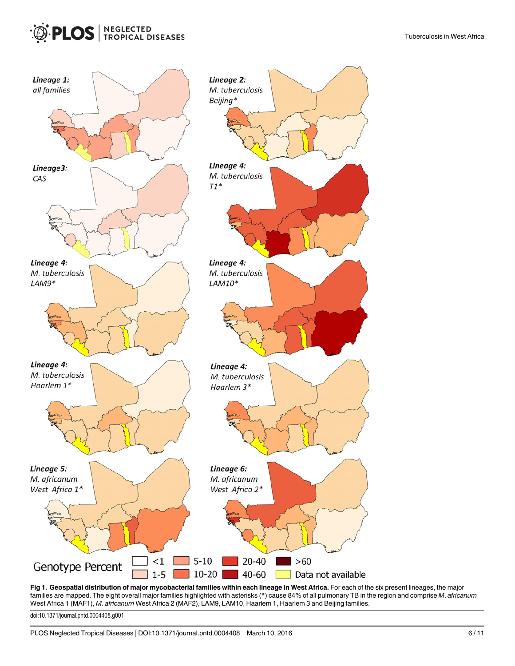<span id="page-5-0"></span>

[Fig 1. G](#page-3-0)eospatial distribution of major mycobacterial families within each lineage in West Africa. For each of the six present lineages, the major families are mapped. The eight overall major families highlighted with asterisks (\*) cause 84% of all pulmonary TB in the region and comprise M. africanum West Africa 1 (MAF1), *M. africanum* West Africa 2 (MAF2), LAM9, LAM10, Haarlem 1, Haarlem 3 and Beijing families.

doi:10.1371/journal.pntd.0004408.g001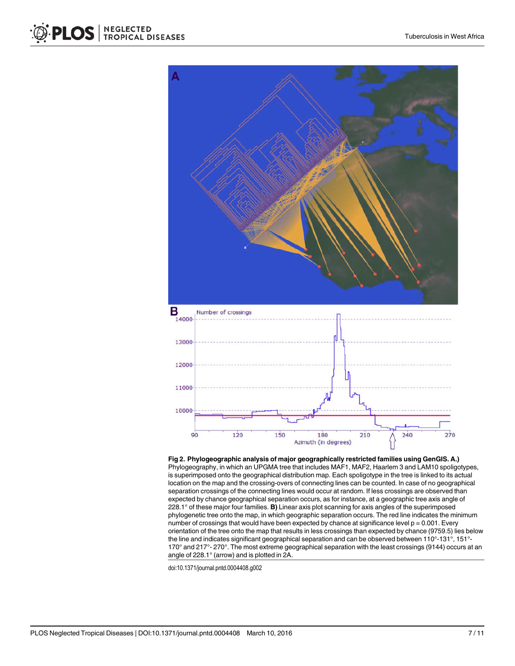<span id="page-6-0"></span>

[Fig 2. P](#page-3-0)hylogeographic analysis of major geographically restricted families using GenGIS. A.) Phylogeography, in which an UPGMA tree that includes MAF1, MAF2, Haarlem 3 and LAM10 spoligotypes, is superimposed onto the geographical distribution map. Each spoligotype in the tree is linked to its actual location on the map and the crossing-overs of connecting lines can be counted. In case of no geographical separation crossings of the connecting lines would occur at random. If less crossings are observed than expected by chance geographical separation occurs, as for instance, at a geographic tree axis angle of 228.1° of these major four families. B) Linear axis plot scanning for axis angles of the superimposed phylogenetic tree onto the map, in which geographic separation occurs. The red line indicates the minimum number of crossings that would have been expected by chance at significance level  $p = 0.001$ . Every orientation of the tree onto the map that results in less crossings than expected by chance (9759.5) lies below the line and indicates significant geographical separation and can be observed between 110°-131°, 151°- 170° and 217°- 270°. The most extreme geographical separation with the least crossings (9144) occurs at an angle of 228.1° (arrow) and is plotted in 2A.

doi:10.1371/journal.pntd.0004408.g002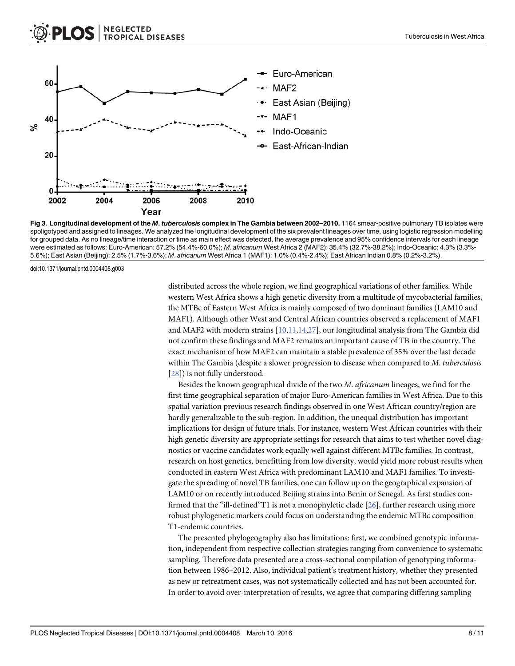<span id="page-7-0"></span>

[Fig 3. L](#page-3-0)ongitudinal development of the M. tuberculosis complex in The Gambia between 2002-2010. 1164 smear-positive pulmonary TB isolates were spoligotyped and assigned to lineages. We analyzed the longitudinal development of the six prevalent lineages over time, using logistic regression modelling for grouped data. As no lineage/time interaction or time as main effect was detected, the average prevalence and 95% confidence intervals for each lineage were estimated as follows: Euro-American: 57.2% (54.4%-60.0%); M. africanum West Africa 2 (MAF2): 35.4% (32.7%-38.2%); Indo-Oceanic: 4.3% (3.3%- 5.6%); East Asian (Beijing): 2.5% (1.7%-3.6%); M. africanum West Africa 1 (MAF1): 1.0% (0.4%-2.4%); East African Indian 0.8% (0.2%-3.2%).

doi:10.1371/journal.pntd.0004408.g003

distributed across the whole region, we find geographical variations of other families. While western West Africa shows a high genetic diversity from a multitude of mycobacterial families, the MTBc of Eastern West Africa is mainly composed of two dominant families (LAM10 and MAF1). Although other West and Central African countries observed a replacement of MAF1 and MAF2 with modern strains  $[10,11,14,27]$  $[10,11,14,27]$  $[10,11,14,27]$  $[10,11,14,27]$  $[10,11,14,27]$ , our longitudinal analysis from The Gambia did not confirm these findings and MAF2 remains an important cause of TB in the country. The exact mechanism of how MAF2 can maintain a stable prevalence of 35% over the last decade within The Gambia (despite a slower progression to disease when compared to M. tuberculosis [\[28](#page-10-0)]) is not fully understood.

Besides the known geographical divide of the two M. africanum lineages, we find for the first time geographical separation of major Euro-American families in West Africa. Due to this spatial variation previous research findings observed in one West African country/region are hardly generalizable to the sub-region. In addition, the unequal distribution has important implications for design of future trials. For instance, western West African countries with their high genetic diversity are appropriate settings for research that aims to test whether novel diagnostics or vaccine candidates work equally well against different MTBc families. In contrast, research on host genetics, benefitting from low diversity, would yield more robust results when conducted in eastern West Africa with predominant LAM10 and MAF1 families. To investigate the spreading of novel TB families, one can follow up on the geographical expansion of LAM10 or on recently introduced Beijing strains into Benin or Senegal. As first studies confirmed that the "ill-defined"T1 is not a monophyletic clade [[26](#page-10-0)], further research using more robust phylogenetic markers could focus on understanding the endemic MTBc composition T1-endemic countries.

The presented phylogeography also has limitations: first, we combined genotypic information, independent from respective collection strategies ranging from convenience to systematic sampling. Therefore data presented are a cross-sectional compilation of genotyping information between 1986–2012. Also, individual patient's treatment history, whether they presented as new or retreatment cases, was not systematically collected and has not been accounted for. In order to avoid over-interpretation of results, we agree that comparing differing sampling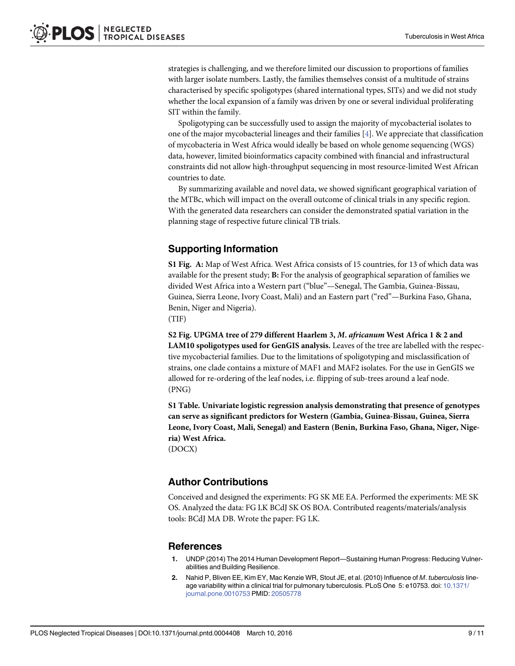<span id="page-8-0"></span>strategies is challenging, and we therefore limited our discussion to proportions of families with larger isolate numbers. Lastly, the families themselves consist of a multitude of strains characterised by specific spoligotypes (shared international types, SITs) and we did not study whether the local expansion of a family was driven by one or several individual proliferating SIT within the family.

Spoligotyping can be successfully used to assign the majority of mycobacterial isolates to one of the major mycobacterial lineages and their families [[4\]](#page-9-0). We appreciate that classification of mycobacteria in West Africa would ideally be based on whole genome sequencing (WGS) data, however, limited bioinformatics capacity combined with financial and infrastructural constraints did not allow high-throughput sequencing in most resource-limited West African countries to date.

By summarizing available and novel data, we showed significant geographical variation of the MTBc, which will impact on the overall outcome of clinical trials in any specific region. With the generated data researchers can consider the demonstrated spatial variation in the planning stage of respective future clinical TB trials.

# Supporting Information

[S1 Fig.](http://www.plosone.org/article/fetchSingleRepresentation.action?uri=info:doi/10.1371/journal.pntd.0004408.s001) A: Map of West Africa. West Africa consists of 15 countries, for 13 of which data was available for the present study; B: For the analysis of geographical separation of families we divided West Africa into a Western part ("blue"—Senegal, The Gambia, Guinea-Bissau, Guinea, Sierra Leone, Ivory Coast, Mali) and an Eastern part ("red"—Burkina Faso, Ghana, Benin, Niger and Nigeria).

(TIF)

[S2 Fig.](http://www.plosone.org/article/fetchSingleRepresentation.action?uri=info:doi/10.1371/journal.pntd.0004408.s002) UPGMA tree of 279 different Haarlem 3, M. africanum West Africa 1 & 2 and LAM10 spoligotypes used for GenGIS analysis. Leaves of the tree are labelled with the respective mycobacterial families. Due to the limitations of spoligotyping and misclassification of strains, one clade contains a mixture of MAF1 and MAF2 isolates. For the use in GenGIS we allowed for re-ordering of the leaf nodes, i.e. flipping of sub-trees around a leaf node. (PNG)

[S1 Table](http://www.plosone.org/article/fetchSingleRepresentation.action?uri=info:doi/10.1371/journal.pntd.0004408.s003). Univariate logistic regression analysis demonstrating that presence of genotypes can serve as significant predictors for Western (Gambia, Guinea-Bissau, Guinea, Sierra Leone, Ivory Coast, Mali, Senegal) and Eastern (Benin, Burkina Faso, Ghana, Niger, Nigeria) West Africa.

(DOCX)

#### Author Contributions

Conceived and designed the experiments: FG SK ME EA. Performed the experiments: ME SK OS. Analyzed the data: FG LK BCdJ SK OS BOA. Contributed reagents/materials/analysis tools: BCdJ MA DB. Wrote the paper: FG LK.

#### References

- [1.](#page-1-0) UNDP (2014) The 2014 Human Development Report—Sustaining Human Progress: Reducing Vulnerabilities and Building Resilience.
- [2.](#page-1-0) Nahid P, Bliven EE, Kim EY, Mac Kenzie WR, Stout JE, et al. (2010) Influence of M. tuberculosis lineage variability within a clinical trial for pulmonary tuberculosis. PLoS One 5: e10753. doi: [10.1371/](http://dx.doi.org/10.1371/journal.pone.0010753) [journal.pone.0010753](http://dx.doi.org/10.1371/journal.pone.0010753) PMID: [20505778](http://www.ncbi.nlm.nih.gov/pubmed/20505778)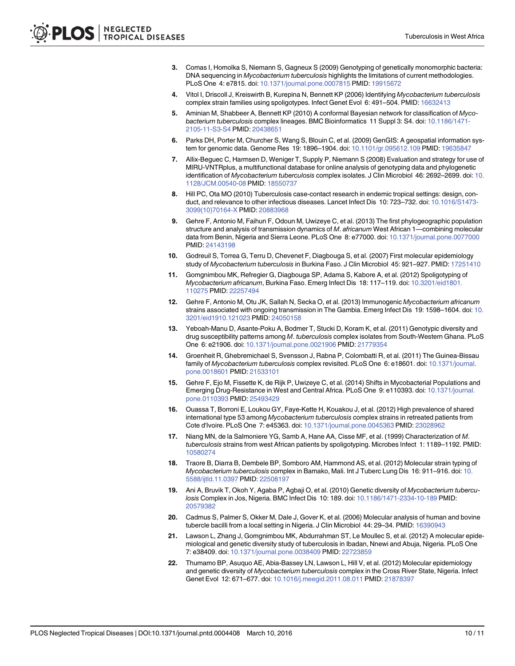- <span id="page-9-0"></span>[3.](#page-1-0) Comas I, Homolka S, Niemann S, Gagneux S (2009) Genotyping of genetically monomorphic bacteria: DNA sequencing in Mycobacterium tuberculosis highlights the limitations of current methodologies. PLoS One 4: e7815. doi: [10.1371/journal.pone.0007815](http://dx.doi.org/10.1371/journal.pone.0007815) PMID: [19915672](http://www.ncbi.nlm.nih.gov/pubmed/19915672)
- [4.](#page-2-0) Vitol I, Driscoll J, Kreiswirth B, Kurepina N, Bennett KP (2006) Identifying Mycobacterium tuberculosis complex strain families using spoligotypes. Infect Genet Evol 6: 491–504. PMID: [16632413](http://www.ncbi.nlm.nih.gov/pubmed/16632413)
- [5.](#page-2-0) Aminian M, Shabbeer A, Bennett KP (2010) A conformal Bayesian network for classification of Mycobacterium tuberculosis complex lineages. BMC Bioinformatics 11 Suppl 3: S4. doi: [10.1186/1471-](http://dx.doi.org/10.1186/1471-2105-11-S3-S4) [2105-11-S3-S4](http://dx.doi.org/10.1186/1471-2105-11-S3-S4) PMID: [20438651](http://www.ncbi.nlm.nih.gov/pubmed/20438651)
- [6.](#page-2-0) Parks DH, Porter M, Churcher S, Wang S, Blouin C, et al. (2009) GenGIS: A geospatial information system for genomic data. Genome Res 19: 1896–1904. doi: [10.1101/gr.095612.109](http://dx.doi.org/10.1101/gr.095612.109) PMID: [19635847](http://www.ncbi.nlm.nih.gov/pubmed/19635847)
- [7.](#page-2-0) Allix-Beguec C, Harmsen D, Weniger T, Supply P, Niemann S (2008) Evaluation and strategy for use of MIRU-VNTRplus, a multifunctional database for online analysis of genotyping data and phylogenetic identification of Mycobacterium tuberculosis complex isolates. J Clin Microbiol 46: 2692–2699. doi: [10.](http://dx.doi.org/10.1128/JCM.00540-08) [1128/JCM.00540-08](http://dx.doi.org/10.1128/JCM.00540-08) PMID: [18550737](http://www.ncbi.nlm.nih.gov/pubmed/18550737)
- [8.](#page-2-0) Hill PC, Ota MO (2010) Tuberculosis case-contact research in endemic tropical settings: design, conduct, and relevance to other infectious diseases. Lancet Infect Dis 10: 723–732. doi: [10.1016/S1473-](http://dx.doi.org/10.1016/S1473-3099(10)70164-X) [3099\(10\)70164-X](http://dx.doi.org/10.1016/S1473-3099(10)70164-X) PMID: [20883968](http://www.ncbi.nlm.nih.gov/pubmed/20883968)
- [9.](#page-4-0) Gehre F, Antonio M, Faihun F, Odoun M, Uwizeye C, et al. (2013) The first phylogeographic population structure and analysis of transmission dynamics of M. africanum West African 1—combining molecular data from Benin, Nigeria and Sierra Leone. PLoS One 8: e77000. doi: [10.1371/journal.pone.0077000](http://dx.doi.org/10.1371/journal.pone.0077000) PMID: [24143198](http://www.ncbi.nlm.nih.gov/pubmed/24143198)
- [10.](#page-4-0) Godreuil S, Torrea G, Terru D, Chevenet F, Diagbouga S, et al. (2007) First molecular epidemiology study of Mycobacterium tuberculosis in Burkina Faso. J Clin Microbiol 45: 921-927. PMID: [17251410](http://www.ncbi.nlm.nih.gov/pubmed/17251410)
- [11.](#page-4-0) Gomgnimbou MK, Refregier G, Diagbouga SP, Adama S, Kabore A, et al. (2012) Spoligotyping of Mycobacterium africanum, Burkina Faso. Emerg Infect Dis 18: 117–119. doi: [10.3201/eid1801.](http://dx.doi.org/10.3201/eid1801.110275) [110275](http://dx.doi.org/10.3201/eid1801.110275) PMID: [22257494](http://www.ncbi.nlm.nih.gov/pubmed/22257494)
- [12.](#page-4-0) Gehre F, Antonio M, Otu JK, Sallah N, Secka O, et al. (2013) Immunogenic Mycobacterium africanum strains associated with ongoing transmission in The Gambia. Emerg Infect Dis 19: 1598-1604. doi: [10.](http://dx.doi.org/10.3201/eid1910.121023) [3201/eid1910.121023](http://dx.doi.org/10.3201/eid1910.121023) PMID: [24050158](http://www.ncbi.nlm.nih.gov/pubmed/24050158)
- [13.](#page-4-0) Yeboah-Manu D, Asante-Poku A, Bodmer T, Stucki D, Koram K, et al. (2011) Genotypic diversity and drug susceptibility patterns among M. tuberculosis complex isolates from South-Western Ghana. PLoS One 6: e21906. doi: [10.1371/journal.pone.0021906](http://dx.doi.org/10.1371/journal.pone.0021906) PMID: [21779354](http://www.ncbi.nlm.nih.gov/pubmed/21779354)
- [14.](#page-4-0) Groenheit R, Ghebremichael S, Svensson J, Rabna P, Colombatti R, et al. (2011) The Guinea-Bissau family of Mycobacterium tuberculosis complex revisited. PLoS One 6: e18601. doi: [10.1371/journal.](http://dx.doi.org/10.1371/journal.pone.0018601) [pone.0018601](http://dx.doi.org/10.1371/journal.pone.0018601) PMID: [21533101](http://www.ncbi.nlm.nih.gov/pubmed/21533101)
- [15.](#page-4-0) Gehre F, Ejo M, Fissette K, de Rijk P, Uwizeye C, et al. (2014) Shifts in Mycobacterial Populations and Emerging Drug-Resistance in West and Central Africa. PLoS One 9: e110393. doi: [10.1371/journal.](http://dx.doi.org/10.1371/journal.pone.0110393) [pone.0110393](http://dx.doi.org/10.1371/journal.pone.0110393) PMID: [25493429](http://www.ncbi.nlm.nih.gov/pubmed/25493429)
- [16.](#page-4-0) Ouassa T, Borroni E, Loukou GY, Faye-Kette H, Kouakou J, et al. (2012) High prevalence of shared international type 53 among Mycobacterium tuberculosis complex strains in retreated patients from Cote d'Ivoire. PLoS One 7: e45363. doi: [10.1371/journal.pone.0045363](http://dx.doi.org/10.1371/journal.pone.0045363) PMID: [23028962](http://www.ncbi.nlm.nih.gov/pubmed/23028962)
- [17.](#page-4-0) Niang MN, de la Salmoniere YG, Samb A, Hane AA, Cisse MF, et al. (1999) Characterization of M. tuberculosis strains from west African patients by spoligotyping. Microbes Infect 1: 1189–1192. PMID: [10580274](http://www.ncbi.nlm.nih.gov/pubmed/10580274)
- [18.](#page-4-0) Traore B, Diarra B, Dembele BP, Somboro AM, Hammond AS, et al. (2012) Molecular strain typing of Mycobacterium tuberculosis complex in Bamako, Mali. Int J Tuberc Lung Dis 16: 911–916. doi: [10.](http://dx.doi.org/10.5588/ijtld.11.0397) [5588/ijtld.11.0397](http://dx.doi.org/10.5588/ijtld.11.0397) PMID: [22508197](http://www.ncbi.nlm.nih.gov/pubmed/22508197)
- [19.](#page-4-0) Ani A, Bruvik T, Okoh Y, Agaba P, Agbaji O, et al. (2010) Genetic diversity of Mycobacterium tuberculosis Complex in Jos, Nigeria. BMC Infect Dis 10: 189. doi: [10.1186/1471-2334-10-189](http://dx.doi.org/10.1186/1471-2334-10-189) PMID: [20579382](http://www.ncbi.nlm.nih.gov/pubmed/20579382)
- [20.](#page-4-0) Cadmus S, Palmer S, Okker M, Dale J, Gover K, et al. (2006) Molecular analysis of human and bovine tubercle bacilli from a local setting in Nigeria. J Clin Microbiol 44: 29–34. PMID: [16390943](http://www.ncbi.nlm.nih.gov/pubmed/16390943)
- [21.](#page-4-0) Lawson L, Zhang J, Gomgnimbou MK, Abdurrahman ST, Le Moullec S, et al. (2012) A molecular epidemiological and genetic diversity study of tuberculosis in Ibadan, Nnewi and Abuja, Nigeria. PLoS One 7: e38409. doi: [10.1371/journal.pone.0038409](http://dx.doi.org/10.1371/journal.pone.0038409) PMID: [22723859](http://www.ncbi.nlm.nih.gov/pubmed/22723859)
- [22.](#page-4-0) Thumamo BP, Asuquo AE, Abia-Bassey LN, Lawson L, Hill V, et al. (2012) Molecular epidemiology and genetic diversity of Mycobacterium tuberculosis complex in the Cross River State, Nigeria. Infect Genet Evol 12: 671–677. doi: [10.1016/j.meegid.2011.08.011](http://dx.doi.org/10.1016/j.meegid.2011.08.011) PMID: [21878397](http://www.ncbi.nlm.nih.gov/pubmed/21878397)